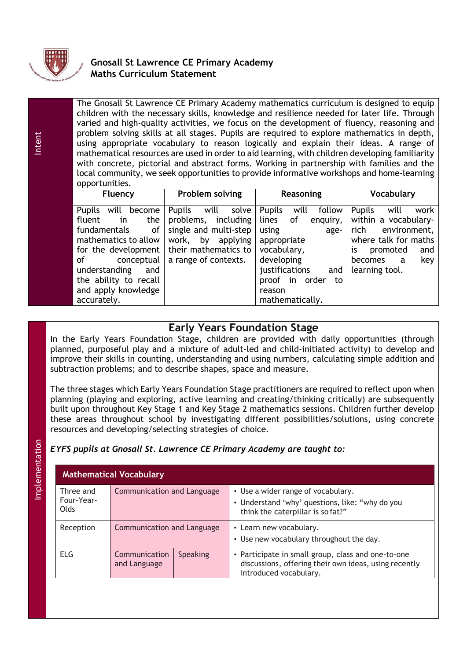

Intent

# **Gnosall St Lawrence CE Primary Academy Maths Curriculum Statement**

| opportunities.                                           | The Gnosall St Lawrence CE Primary Academy mathematics curriculum is designed to equip<br>children with the necessary skills, knowledge and resilience needed for later life. Through<br>varied and high-quality activities, we focus on the development of fluency, reasoning and<br>problem solving skills at all stages. Pupils are required to explore mathematics in depth,<br>using appropriate vocabulary to reason logically and explain their ideas. A range of<br>mathematical resources are used in order to aid learning, with children developing familiarity<br>with concrete, pictorial and abstract forms. Working in partnership with families and the<br>local community, we seek opportunities to provide informative workshops and home-learning |                                       |                                                                |
|----------------------------------------------------------|----------------------------------------------------------------------------------------------------------------------------------------------------------------------------------------------------------------------------------------------------------------------------------------------------------------------------------------------------------------------------------------------------------------------------------------------------------------------------------------------------------------------------------------------------------------------------------------------------------------------------------------------------------------------------------------------------------------------------------------------------------------------|---------------------------------------|----------------------------------------------------------------|
| <b>Fluency</b>                                           | Problem solving                                                                                                                                                                                                                                                                                                                                                                                                                                                                                                                                                                                                                                                                                                                                                      | Reasoning                             | <b>Vocabulary</b>                                              |
| <b>Pupils</b><br>become<br>will<br>fluent<br>the I<br>in | Pupils<br>solve<br>will<br>problems, including l lines                                                                                                                                                                                                                                                                                                                                                                                                                                                                                                                                                                                                                                                                                                               | <b>Pupils</b><br>follow<br>will<br>οf | work<br><b>Pupils</b><br>will<br>enguiry. Within a vocabulary- |

| Pupils will become Pupils will solv |                      |
|-------------------------------------|----------------------|
| fluent in the                       | problems, includin   |
| fundamentals of                     | single and multi-ste |
| mathematics to allow                | work, by applyin     |
| for the development                 | their mathematics t  |
| of conceptual                       | a range of contexts. |
| understanding and                   |                      |
| the ability to recall               |                      |
| and apply knowledge                 |                      |
| accurately.                         |                      |

# **Early Years Foundation Stage**

In the Early Years Foundation Stage, children are provided with daily opportunities (through planned, purposeful play and a mixture of adult-led and child-initiated activity) to develop and improve their skills in counting, understanding and using numbers, calculating simple addition and subtraction problems; and to describe shapes, space and measure.

The three stages which Early Years Foundation Stage practitioners are required to reflect upon when planning (playing and exploring, active learning and creating/thinking critically) are subsequently built upon throughout Key Stage 1 and Key Stage 2 mathematics sessions. Children further develop these areas throughout school by investigating different possibilities/solutions, using concrete resources and developing/selecting strategies of choice.

# *EYFS pupils at Gnosall St. Lawrence CE Primary Academy are taught to:*

| <b>Mathematical Vocabulary</b>         |                               |          |                                                                                                                                       |  |
|----------------------------------------|-------------------------------|----------|---------------------------------------------------------------------------------------------------------------------------------------|--|
| Three and<br>Four-Year-<br><b>Olds</b> | Communication and Language    |          | • Use a wider range of vocabulary.<br>• Understand 'why' questions, like: "why do you<br>think the caterpillar is so fat?"            |  |
| Reception                              | Communication and Language    |          | • Learn new vocabulary.<br>• Use new vocabulary throughout the day.                                                                   |  |
| <b>ELG</b>                             | Communication<br>and Language | Speaking | • Participate in small group, class and one-to-one<br>discussions, offering their own ideas, using recently<br>introduced vocabulary. |  |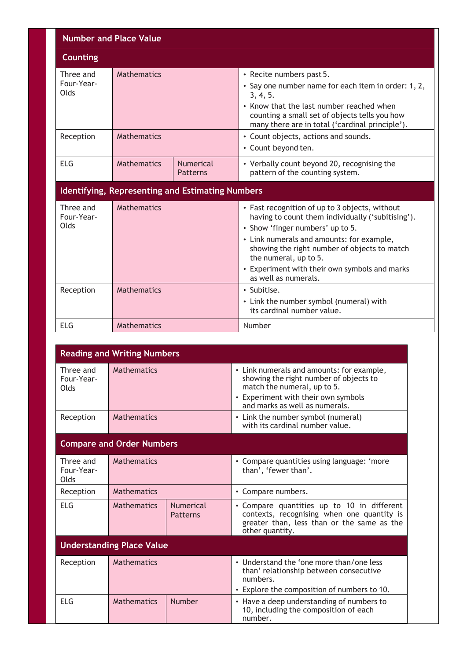| <b>Number and Place Value</b>   |                                                  |                              |                                                                                                                                                                                                                                                                                                                                        |  |  |
|---------------------------------|--------------------------------------------------|------------------------------|----------------------------------------------------------------------------------------------------------------------------------------------------------------------------------------------------------------------------------------------------------------------------------------------------------------------------------------|--|--|
| <b>Counting</b>                 |                                                  |                              |                                                                                                                                                                                                                                                                                                                                        |  |  |
| Three and<br>Four-Year-<br>Olds | <b>Mathematics</b>                               |                              | • Recite numbers past 5.<br>• Say one number name for each item in order: 1, 2,<br>3, 4, 5.<br>• Know that the last number reached when<br>counting a small set of objects tells you how<br>many there are in total ('cardinal principle').                                                                                            |  |  |
| Reception                       | <b>Mathematics</b>                               |                              | • Count objects, actions and sounds.<br>• Count beyond ten.                                                                                                                                                                                                                                                                            |  |  |
| <b>ELG</b>                      | <b>Mathematics</b>                               | Numerical<br><b>Patterns</b> | • Verbally count beyond 20, recognising the<br>pattern of the counting system.                                                                                                                                                                                                                                                         |  |  |
|                                 | Identifying, Representing and Estimating Numbers |                              |                                                                                                                                                                                                                                                                                                                                        |  |  |
| Three and<br>Four-Year-<br>Olds | <b>Mathematics</b>                               |                              | • Fast recognition of up to 3 objects, without<br>having to count them individually ('subitising').<br>• Show 'finger numbers' up to 5.<br>• Link numerals and amounts: for example,<br>showing the right number of objects to match<br>the numeral, up to 5.<br>• Experiment with their own symbols and marks<br>as well as numerals. |  |  |
| Reception                       | <b>Mathematics</b>                               |                              | • Subitise.<br>• Link the number symbol (numeral) with<br>its cardinal number value.                                                                                                                                                                                                                                                   |  |  |
| <b>ELG</b>                      | <b>Mathematics</b>                               |                              | Number                                                                                                                                                                                                                                                                                                                                 |  |  |

| <b>Reading and Writing Numbers</b> |                                         |                              |                                                                                                                                                                                             |  |
|------------------------------------|-----------------------------------------|------------------------------|---------------------------------------------------------------------------------------------------------------------------------------------------------------------------------------------|--|
| Three and<br>Four-Year-<br>Olds    | <b>Mathematics</b>                      |                              | • Link numerals and amounts: for example,<br>showing the right number of objects to<br>match the numeral, up to 5.<br>• Experiment with their own symbols<br>and marks as well as numerals. |  |
| Reception                          | <b>Mathematics</b>                      |                              | • Link the number symbol (numeral)<br>with its cardinal number value.                                                                                                                       |  |
| <b>Compare and Order Numbers</b>   |                                         |                              |                                                                                                                                                                                             |  |
| Three and<br>Four-Year-<br>Olds    | <b>Mathematics</b>                      |                              | • Compare quantities using language: 'more<br>than', 'fewer than'.                                                                                                                          |  |
| Reception                          | <b>Mathematics</b>                      |                              | • Compare numbers.                                                                                                                                                                          |  |
| <b>ELG</b>                         | <b>Mathematics</b>                      | <b>Numerical</b><br>Patterns | • Compare quantities up to 10 in different<br>contexts, recognising when one quantity is<br>greater than, less than or the same as the<br>other quantity.                                   |  |
| <b>Understanding Place Value</b>   |                                         |                              |                                                                                                                                                                                             |  |
| Reception                          | <b>Mathematics</b>                      |                              | • Understand the 'one more than/one less<br>than' relationship between consecutive<br>numbers.<br>• Explore the composition of numbers to 10.                                               |  |
| <b>ELG</b>                         | <b>Mathematics</b><br>Number<br>number. |                              | • Have a deep understanding of numbers to<br>10, including the composition of each                                                                                                          |  |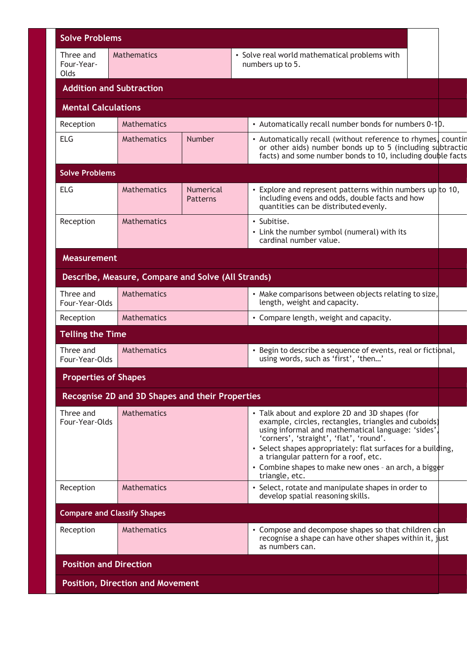| <b>Solve Problems</b>                   |                                                    |                                     |                                                                                                                                                                                                                                                                                                                                                                                             |  |
|-----------------------------------------|----------------------------------------------------|-------------------------------------|---------------------------------------------------------------------------------------------------------------------------------------------------------------------------------------------------------------------------------------------------------------------------------------------------------------------------------------------------------------------------------------------|--|
| Three and<br>Four-Year-<br><b>olds</b>  | <b>Mathematics</b>                                 |                                     | • Solve real world mathematical problems with<br>numbers up to 5.                                                                                                                                                                                                                                                                                                                           |  |
|                                         | <b>Addition and Subtraction</b>                    |                                     |                                                                                                                                                                                                                                                                                                                                                                                             |  |
| <b>Mental Calculations</b>              |                                                    |                                     |                                                                                                                                                                                                                                                                                                                                                                                             |  |
| Reception                               | <b>Mathematics</b>                                 |                                     | • Automatically recall number bonds for numbers 0-10.                                                                                                                                                                                                                                                                                                                                       |  |
| <b>ELG</b>                              | <b>Mathematics</b>                                 | Number                              | • Automatically recall (without reference to rhymes, countin<br>or other aids) number bonds up to 5 (including subtraction<br>facts) and some number bonds to 10, including double facts                                                                                                                                                                                                    |  |
| <b>Solve Problems</b>                   |                                                    |                                     |                                                                                                                                                                                                                                                                                                                                                                                             |  |
| <b>ELG</b>                              | <b>Mathematics</b>                                 | <b>Numerical</b><br><b>Patterns</b> | • Explore and represent patterns within numbers up to 10,<br>including evens and odds, double facts and how<br>quantities can be distributed evenly.                                                                                                                                                                                                                                        |  |
| Reception                               | <b>Mathematics</b>                                 |                                     | • Subitise.<br>• Link the number symbol (numeral) with its<br>cardinal number value.                                                                                                                                                                                                                                                                                                        |  |
| <b>Measurement</b>                      |                                                    |                                     |                                                                                                                                                                                                                                                                                                                                                                                             |  |
|                                         | Describe, Measure, Compare and Solve (All Strands) |                                     |                                                                                                                                                                                                                                                                                                                                                                                             |  |
| Three and<br>Four-Year-Olds             | <b>Mathematics</b>                                 |                                     | • Make comparisons between objects relating to size,<br>length, weight and capacity.                                                                                                                                                                                                                                                                                                        |  |
| Reception                               | <b>Mathematics</b>                                 |                                     | • Compare length, weight and capacity.                                                                                                                                                                                                                                                                                                                                                      |  |
| <b>Telling the Time</b>                 |                                                    |                                     |                                                                                                                                                                                                                                                                                                                                                                                             |  |
| Three and<br>Four-Year-Olds             | <b>Mathematics</b>                                 |                                     | • Begin to describe a sequence of events, real or fictibnal,<br>using words, such as 'first', 'then'                                                                                                                                                                                                                                                                                        |  |
| <b>Properties of Shapes</b>             |                                                    |                                     |                                                                                                                                                                                                                                                                                                                                                                                             |  |
|                                         | Recognise 2D and 3D Shapes and their Properties    |                                     |                                                                                                                                                                                                                                                                                                                                                                                             |  |
| Three and<br>Four-Year-Olds             | <b>Mathematics</b>                                 |                                     | • Talk about and explore 2D and 3D shapes (for<br>example, circles, rectangles, triangles and cuboids)<br>using informal and mathematical language: 'sides',<br>'corners', 'straight', 'flat', 'round'.<br>• Select shapes appropriately: flat surfaces for a building,<br>a triangular pattern for a roof, etc.<br>• Combine shapes to make new ones - an arch, a bigger<br>triangle, etc. |  |
| Reception                               | <b>Mathematics</b>                                 |                                     | • Select, rotate and manipulate shapes in order to<br>develop spatial reasoning skills.                                                                                                                                                                                                                                                                                                     |  |
|                                         | <b>Compare and Classify Shapes</b>                 |                                     |                                                                                                                                                                                                                                                                                                                                                                                             |  |
| Reception                               | <b>Mathematics</b>                                 |                                     | • Compose and decompose shapes so that children can<br>recognise a shape can have other shapes within it, just<br>as numbers can.                                                                                                                                                                                                                                                           |  |
|                                         | <b>Position and Direction</b>                      |                                     |                                                                                                                                                                                                                                                                                                                                                                                             |  |
| <b>Position, Direction and Movement</b> |                                                    |                                     |                                                                                                                                                                                                                                                                                                                                                                                             |  |
|                                         |                                                    |                                     |                                                                                                                                                                                                                                                                                                                                                                                             |  |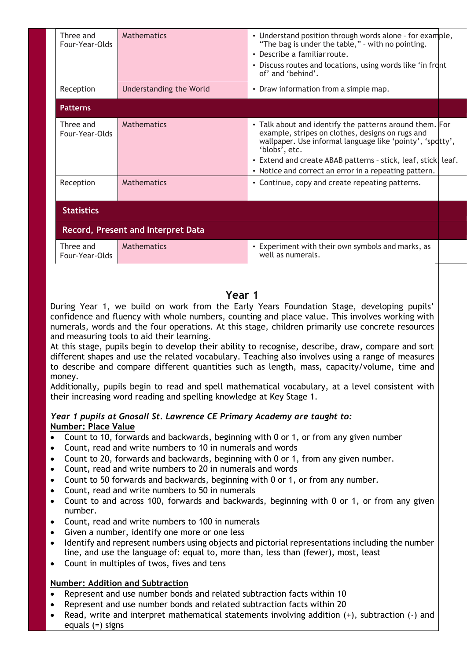| Three and<br>Four-Year-Olds | <b>Mathematics</b>                        | • Understand position through words alone - for example,<br>"The bag is under the table," - with no pointing.<br>• Describe a familiar route.<br>• Discuss routes and locations, using words like 'in front<br>of' and 'behind'.                                                                                    |  |  |  |
|-----------------------------|-------------------------------------------|---------------------------------------------------------------------------------------------------------------------------------------------------------------------------------------------------------------------------------------------------------------------------------------------------------------------|--|--|--|
| Reception                   | Understanding the World                   | • Draw information from a simple map.                                                                                                                                                                                                                                                                               |  |  |  |
| <b>Patterns</b>             |                                           |                                                                                                                                                                                                                                                                                                                     |  |  |  |
| Three and<br>Four-Year-Olds | <b>Mathematics</b>                        | • Talk about and identify the patterns around them. For<br>example, stripes on clothes, designs on rugs and<br>wallpaper. Use informal language like 'pointy', 'spotty',<br>'blobs', etc.<br>• Extend and create ABAB patterns - stick, leaf, stick, leaf.<br>• Notice and correct an error in a repeating pattern. |  |  |  |
| Reception                   | <b>Mathematics</b>                        | • Continue, copy and create repeating patterns.                                                                                                                                                                                                                                                                     |  |  |  |
| <b>Statistics</b>           |                                           |                                                                                                                                                                                                                                                                                                                     |  |  |  |
|                             | <b>Record, Present and Interpret Data</b> |                                                                                                                                                                                                                                                                                                                     |  |  |  |
| Three and<br>Four-Year-Olds | Mathematics                               | • Experiment with their own symbols and marks, as<br>well as numerals.                                                                                                                                                                                                                                              |  |  |  |
|                             |                                           |                                                                                                                                                                                                                                                                                                                     |  |  |  |

# **Year 1**

During Year 1, we build on work from the Early Years Foundation Stage, developing pupils' confidence and fluency with whole numbers, counting and place value. This involves working with numerals, words and the four operations. At this stage, children primarily use concrete resources and measuring tools to aid their learning.

At this stage, pupils begin to develop their ability to recognise, describe, draw, compare and sort different shapes and use the related vocabulary. Teaching also involves using a range of measures to describe and compare different quantities such as length, mass, capacity/volume, time and money.

Additionally, pupils begin to read and spell mathematical vocabulary, at a level consistent with their increasing word reading and spelling knowledge at Key Stage 1.

### *Year 1 pupils at Gnosall St. Lawrence CE Primary Academy are taught to:* **Number: Place Value**

- Count to 10, forwards and backwards, beginning with 0 or 1, or from any given number
- Count, read and write numbers to 10 in numerals and words
- Count to 20, forwards and backwards, beginning with 0 or 1, from any given number.
- Count, read and write numbers to 20 in numerals and words
- Count to 50 forwards and backwards, beginning with 0 or 1, or from any number.
- Count, read and write numbers to 50 in numerals
- Count to and across 100, forwards and backwards, beginning with 0 or 1, or from any given number.
- Count, read and write numbers to 100 in numerals
- Given a number, identify one more or one less
- Identify and represent numbers using objects and pictorial representations including the number line, and use the language of: equal to, more than, less than (fewer), most, least
- Count in multiples of twos, fives and tens

### **Number: Addition and Subtraction**

- Represent and use number bonds and related subtraction facts within 10
- Represent and use number bonds and related subtraction facts within 20
- Read, write and interpret mathematical statements involving addition (+), subtraction (-) and equals (=) signs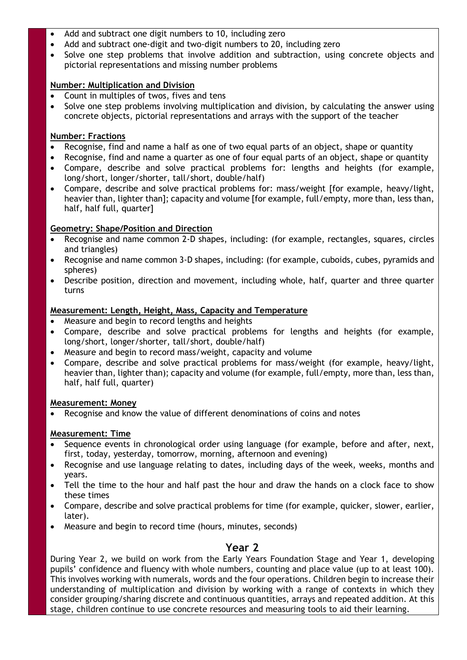- Add and subtract one digit numbers to 10, including zero
- Add and subtract one-digit and two-digit numbers to 20, including zero
- Solve one step problems that involve addition and subtraction, using concrete objects and pictorial representations and missing number problems

### **Number: Multiplication and Division**

- Count in multiples of twos, fives and tens
- Solve one step problems involving multiplication and division, by calculating the answer using concrete objects, pictorial representations and arrays with the support of the teacher

### **Number: Fractions**

- Recognise, find and name a half as one of two equal parts of an object, shape or quantity
- Recognise, find and name a quarter as one of four equal parts of an object, shape or quantity
- Compare, describe and solve practical problems for: lengths and heights (for example, long/short, longer/shorter, tall/short, double/half)
- Compare, describe and solve practical problems for: mass/weight [for example, heavy/light, heavier than, lighter than]; capacity and volume [for example, full/empty, more than, less than, half, half full, quarter]

### **Geometry: Shape/Position and Direction**

- Recognise and name common 2-D shapes, including: (for example, rectangles, squares, circles and triangles)
- Recognise and name common 3-D shapes, including: (for example, cuboids, cubes, pyramids and spheres)
- Describe position, direction and movement, including whole, half, quarter and three quarter turns

### **Measurement: Length, Height, Mass, Capacity and Temperature**

- Measure and begin to record lengths and heights
- Compare, describe and solve practical problems for lengths and heights (for example, long/short, longer/shorter, tall/short, double/half)
- Measure and begin to record mass/weight, capacity and volume
- Compare, describe and solve practical problems for mass/weight (for example, heavy/light, heavier than, lighter than); capacity and volume (for example, full/empty, more than, less than, half, half full, quarter)

### **Measurement: Money**

Recognise and know the value of different denominations of coins and notes

### **Measurement: Time**

- Sequence events in chronological order using language (for example, before and after, next, first, today, yesterday, tomorrow, morning, afternoon and evening)
- Recognise and use language relating to dates, including days of the week, weeks, months and years.
- Tell the time to the hour and half past the hour and draw the hands on a clock face to show these times
- Compare, describe and solve practical problems for time (for example, quicker, slower, earlier, later).
- Measure and begin to record time (hours, minutes, seconds)

# **Year 2**

During Year 2, we build on work from the Early Years Foundation Stage and Year 1, developing pupils' confidence and fluency with whole numbers, counting and place value (up to at least 100). This involves working with numerals, words and the four operations. Children begin to increase their understanding of multiplication and division by working with a range of contexts in which they consider grouping/sharing discrete and continuous quantities, arrays and repeated addition. At this stage, children continue to use concrete resources and measuring tools to aid their learning.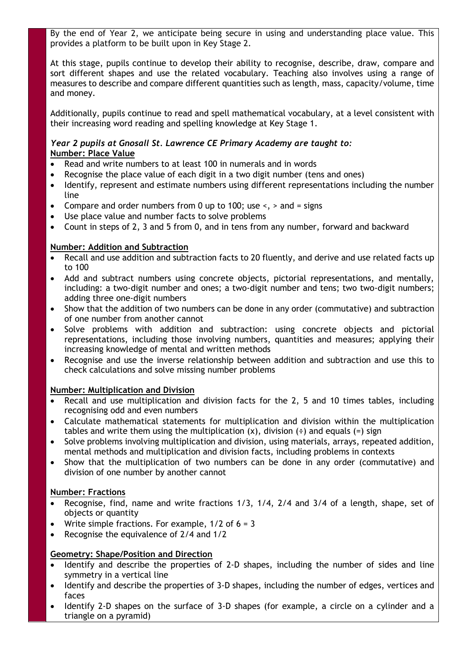By the end of Year 2, we anticipate being secure in using and understanding place value. This provides a platform to be built upon in Key Stage 2.

At this stage, pupils continue to develop their ability to recognise, describe, draw, compare and sort different shapes and use the related vocabulary. Teaching also involves using a range of measures to describe and compare different quantities such as length, mass, capacity/volume, time and money.

Additionally, pupils continue to read and spell mathematical vocabulary, at a level consistent with their increasing word reading and spelling knowledge at Key Stage 1.

### *Year 2 pupils at Gnosall St. Lawrence CE Primary Academy are taught to:* **Number: Place Value**

- Read and write numbers to at least 100 in numerals and in words
- Recognise the place value of each digit in a two digit number (tens and ones)
- Identify, represent and estimate numbers using different representations including the number line
- Compare and order numbers from 0 up to 100; use  $\leq$ ,  $>$  and = signs
- Use place value and number facts to solve problems
- Count in steps of 2, 3 and 5 from 0, and in tens from any number, forward and backward

### **Number: Addition and Subtraction**

- Recall and use addition and subtraction facts to 20 fluently, and derive and use related facts up to 100
- Add and subtract numbers using concrete objects, pictorial representations, and mentally, including: a two-digit number and ones; a two-digit number and tens; two two-digit numbers; adding three one-digit numbers
- Show that the addition of two numbers can be done in any order (commutative) and subtraction of one number from another cannot
- Solve problems with addition and subtraction: using concrete objects and pictorial representations, including those involving numbers, quantities and measures; applying their increasing knowledge of mental and written methods
- Recognise and use the inverse relationship between addition and subtraction and use this to check calculations and solve missing number problems

### **Number: Multiplication and Division**

- Recall and use multiplication and division facts for the 2, 5 and 10 times tables, including recognising odd and even numbers
- Calculate mathematical statements for multiplication and division within the multiplication tables and write them using the multiplication  $(x)$ , division  $(\div)$  and equals  $(=)$  sign
- Solve problems involving multiplication and division, using materials, arrays, repeated addition, mental methods and multiplication and division facts, including problems in contexts
- Show that the multiplication of two numbers can be done in any order (commutative) and division of one number by another cannot

### **Number: Fractions**

- Recognise, find, name and write fractions 1/3, 1/4, 2/4 and 3/4 of a length, shape, set of objects or quantity
- Write simple fractions. For example,  $1/2$  of  $6 = 3$
- Recognise the equivalence of 2/4 and 1/2

# **Geometry: Shape/Position and Direction**

- Identify and describe the properties of 2-D shapes, including the number of sides and line symmetry in a vertical line
- Identify and describe the properties of 3-D shapes, including the number of edges, vertices and faces
- Identify 2-D shapes on the surface of 3-D shapes (for example, a circle on a cylinder and a triangle on a pyramid)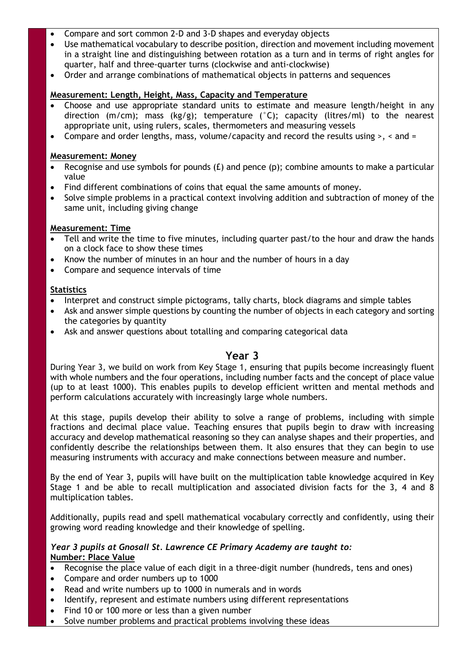- Compare and sort common 2-D and 3-D shapes and everyday objects
- Use mathematical vocabulary to describe position, direction and movement including movement in a straight line and distinguishing between rotation as a turn and in terms of right angles for quarter, half and three-quarter turns (clockwise and anti-clockwise)
- Order and arrange combinations of mathematical objects in patterns and sequences

### **Measurement: Length, Height, Mass, Capacity and Temperature**

- Choose and use appropriate standard units to estimate and measure length/height in any direction (m/cm); mass (kg/g); temperature (°C); capacity (litres/ml) to the nearest appropriate unit, using rulers, scales, thermometers and measuring vessels
- Compare and order lengths, mass, volume/capacity and record the results using  $>$ ,  $\lt$  and  $=$

### **Measurement: Money**

- Recognise and use symbols for pounds (£) and pence (p); combine amounts to make a particular value
- Find different combinations of coins that equal the same amounts of money.
- Solve simple problems in a practical context involving addition and subtraction of money of the same unit, including giving change

### **Measurement: Time**

- Tell and write the time to five minutes, including quarter past/to the hour and draw the hands on a clock face to show these times
- Know the number of minutes in an hour and the number of hours in a day
- Compare and sequence intervals of time

### **Statistics**

- Interpret and construct simple pictograms, tally charts, block diagrams and simple tables
- Ask and answer simple questions by counting the number of objects in each category and sorting the categories by quantity
- Ask and answer questions about totalling and comparing categorical data

# **Year 3**

During Year 3, we build on work from Key Stage 1, ensuring that pupils become increasingly fluent with whole numbers and the four operations, including number facts and the concept of place value (up to at least 1000). This enables pupils to develop efficient written and mental methods and perform calculations accurately with increasingly large whole numbers.

At this stage, pupils develop their ability to solve a range of problems, including with simple fractions and decimal place value. Teaching ensures that pupils begin to draw with increasing accuracy and develop mathematical reasoning so they can analyse shapes and their properties, and confidently describe the relationships between them. It also ensures that they can begin to use measuring instruments with accuracy and make connections between measure and number.

By the end of Year 3, pupils will have built on the multiplication table knowledge acquired in Key Stage 1 and be able to recall multiplication and associated division facts for the 3, 4 and 8 multiplication tables.

Additionally, pupils read and spell mathematical vocabulary correctly and confidently, using their growing word reading knowledge and their knowledge of spelling.

#### *Year 3 pupils at Gnosall St. Lawrence CE Primary Academy are taught to:* **Number: Place Value**

- Recognise the place value of each digit in a three-digit number (hundreds, tens and ones)
- Compare and order numbers up to 1000
- Read and write numbers up to 1000 in numerals and in words
- Identify, represent and estimate numbers using different representations
- Find 10 or 100 more or less than a given number
- Solve number problems and practical problems involving these ideas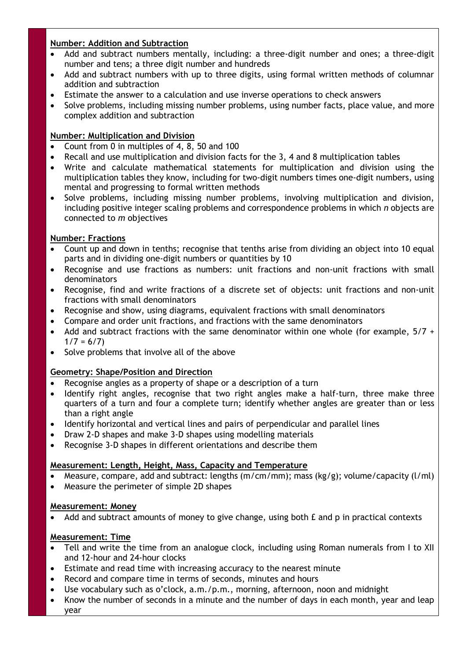# **Number: Addition and Subtraction**

- Add and subtract numbers mentally, including: a three-digit number and ones; a three-digit number and tens; a three digit number and hundreds
- Add and subtract numbers with up to three digits, using formal written methods of columnar addition and subtraction
- Estimate the answer to a calculation and use inverse operations to check answers
- Solve problems, including missing number problems, using number facts, place value, and more complex addition and subtraction

# **Number: Multiplication and Division**

- Count from 0 in multiples of 4, 8, 50 and 100
- Recall and use multiplication and division facts for the 3, 4 and 8 multiplication tables
- Write and calculate mathematical statements for multiplication and division using the multiplication tables they know, including for two-digit numbers times one-digit numbers, using mental and progressing to formal written methods
- Solve problems, including missing number problems, involving multiplication and division, including positive integer scaling problems and correspondence problems in which *n* objects are connected to *m* objectives

# **Number: Fractions**

- Count up and down in tenths; recognise that tenths arise from dividing an object into 10 equal parts and in dividing one-digit numbers or quantities by 10
- Recognise and use fractions as numbers: unit fractions and non-unit fractions with small denominators
- Recognise, find and write fractions of a discrete set of objects: unit fractions and non-unit fractions with small denominators
- Recognise and show, using diagrams, equivalent fractions with small denominators
- Compare and order unit fractions, and fractions with the same denominators
- Add and subtract fractions with the same denominator within one whole (for example,  $5/7 +$  $1/7 = 6/7$
- Solve problems that involve all of the above

# **Geometry: Shape/Position and Direction**

- Recognise angles as a property of shape or a description of a turn
- Identify right angles, recognise that two right angles make a half-turn, three make three quarters of a turn and four a complete turn; identify whether angles are greater than or less than a right angle
- Identify horizontal and vertical lines and pairs of perpendicular and parallel lines
- Draw 2-D shapes and make 3-D shapes using modelling materials
- Recognise 3-D shapes in different orientations and describe them

# **Measurement: Length, Height, Mass, Capacity and Temperature**

- Measure, compare, add and subtract: lengths (m/cm/mm); mass (kg/g); volume/capacity (l/ml)
- Measure the perimeter of simple 2D shapes

# **Measurement: Money**

Add and subtract amounts of money to give change, using both  $E$  and  $p$  in practical contexts

# **Measurement: Time**

- Tell and write the time from an analogue clock, including using Roman numerals from I to XII and 12-hour and 24-hour clocks
- Estimate and read time with increasing accuracy to the nearest minute
- Record and compare time in terms of seconds, minutes and hours
- Use vocabulary such as o'clock, a.m./p.m., morning, afternoon, noon and midnight
- Know the number of seconds in a minute and the number of days in each month, year and leap year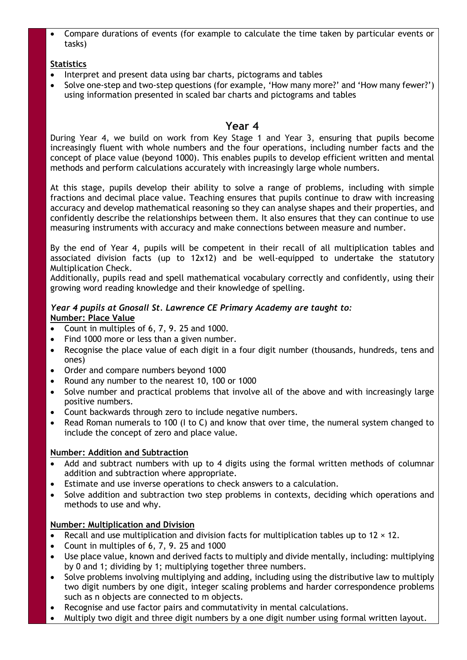Compare durations of events (for example to calculate the time taken by particular events or tasks)

# **Statistics**

- Interpret and present data using bar charts, pictograms and tables
- Solve one-step and two-step questions (for example, 'How many more?' and 'How many fewer?') using information presented in scaled bar charts and pictograms and tables

# **Year 4**

During Year 4, we build on work from Key Stage 1 and Year 3, ensuring that pupils become increasingly fluent with whole numbers and the four operations, including number facts and the concept of place value (beyond 1000). This enables pupils to develop efficient written and mental methods and perform calculations accurately with increasingly large whole numbers.

At this stage, pupils develop their ability to solve a range of problems, including with simple fractions and decimal place value. Teaching ensures that pupils continue to draw with increasing accuracy and develop mathematical reasoning so they can analyse shapes and their properties, and confidently describe the relationships between them. It also ensures that they can continue to use measuring instruments with accuracy and make connections between measure and number.

By the end of Year 4, pupils will be competent in their recall of all multiplication tables and associated division facts (up to 12x12) and be well-equipped to undertake the statutory Multiplication Check.

Additionally, pupils read and spell mathematical vocabulary correctly and confidently, using their growing word reading knowledge and their knowledge of spelling.

# *Year 4 pupils at Gnosall St. Lawrence CE Primary Academy are taught to:* **Number: Place Value**

- Count in multiples of 6, 7, 9. 25 and 1000.
- Find 1000 more or less than a given number.
- Recognise the place value of each digit in a four digit number (thousands, hundreds, tens and ones)
- Order and compare numbers beyond 1000
- Round any number to the nearest 10, 100 or 1000
- Solve number and practical problems that involve all of the above and with increasingly large positive numbers.
- Count backwards through zero to include negative numbers.
- Read Roman numerals to 100 (I to C) and know that over time, the numeral system changed to include the concept of zero and place value.

# **Number: Addition and Subtraction**

- Add and subtract numbers with up to 4 digits using the formal written methods of columnar addition and subtraction where appropriate.
- Estimate and use inverse operations to check answers to a calculation.
- Solve addition and subtraction two step problems in contexts, deciding which operations and methods to use and why.

# **Number: Multiplication and Division**

- Recall and use multiplication and division facts for multiplication tables up to  $12 \times 12$ .
- Count in multiples of 6, 7, 9. 25 and 1000
- Use place value, known and derived facts to multiply and divide mentally, including: multiplying by 0 and 1; dividing by 1; multiplying together three numbers.
- Solve problems involving multiplying and adding, including using the distributive law to multiply two digit numbers by one digit, integer scaling problems and harder correspondence problems such as n objects are connected to m objects.
- Recognise and use factor pairs and commutativity in mental calculations.
- Multiply two digit and three digit numbers by a one digit number using formal written layout.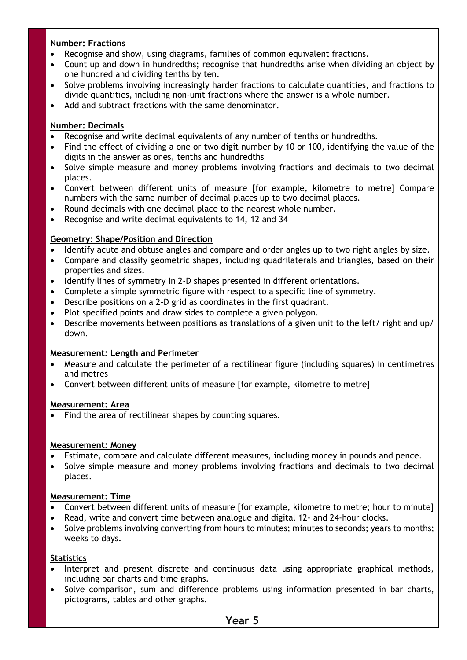# **Number: Fractions**

- Recognise and show, using diagrams, families of common equivalent fractions.
- Count up and down in hundredths; recognise that hundredths arise when dividing an object by one hundred and dividing tenths by ten.
- Solve problems involving increasingly harder fractions to calculate quantities, and fractions to divide quantities, including non-unit fractions where the answer is a whole number.
- Add and subtract fractions with the same denominator.

# **Number: Decimals**

- Recognise and write decimal equivalents of any number of tenths or hundredths.
- Find the effect of dividing a one or two digit number by 10 or 100, identifying the value of the digits in the answer as ones, tenths and hundredths
- Solve simple measure and money problems involving fractions and decimals to two decimal places.
- Convert between different units of measure [for example, kilometre to metre] Compare numbers with the same number of decimal places up to two decimal places.
- Round decimals with one decimal place to the nearest whole number.
- Recognise and write decimal equivalents to 14, 12 and 34

# **Geometry: Shape/Position and Direction**

- Identify acute and obtuse angles and compare and order angles up to two right angles by size.
- Compare and classify geometric shapes, including quadrilaterals and triangles, based on their properties and sizes.
- Identify lines of symmetry in 2-D shapes presented in different orientations.
- Complete a simple symmetric figure with respect to a specific line of symmetry.
- Describe positions on a 2-D grid as coordinates in the first quadrant.
- Plot specified points and draw sides to complete a given polygon.
- Describe movements between positions as translations of a given unit to the left/ right and up/ down.

# **Measurement: Length and Perimeter**

- Measure and calculate the perimeter of a rectilinear figure (including squares) in centimetres and metres
- Convert between different units of measure [for example, kilometre to metre]

### **Measurement: Area**

Find the area of rectilinear shapes by counting squares.

### **Measurement: Money**

- Estimate, compare and calculate different measures, including money in pounds and pence.
- Solve simple measure and money problems involving fractions and decimals to two decimal places.

# **Measurement: Time**

- Convert between different units of measure [for example, kilometre to metre; hour to minute]
- Read, write and convert time between analogue and digital 12- and 24-hour clocks.
- Solve problems involving converting from hours to minutes; minutes to seconds; years to months; weeks to days.

# **Statistics**

- Interpret and present discrete and continuous data using appropriate graphical methods, including bar charts and time graphs.
- Solve comparison, sum and difference problems using information presented in bar charts, pictograms, tables and other graphs.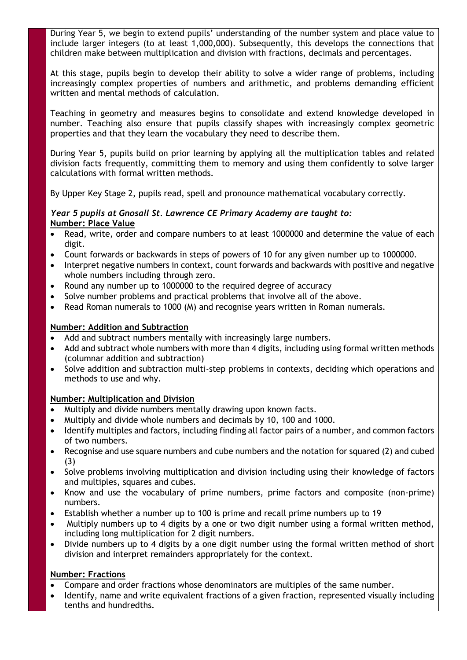During Year 5, we begin to extend pupils' understanding of the number system and place value to include larger integers (to at least 1,000,000). Subsequently, this develops the connections that children make between multiplication and division with fractions, decimals and percentages.

At this stage, pupils begin to develop their ability to solve a wider range of problems, including increasingly complex properties of numbers and arithmetic, and problems demanding efficient written and mental methods of calculation.

Teaching in geometry and measures begins to consolidate and extend knowledge developed in number. Teaching also ensure that pupils classify shapes with increasingly complex geometric properties and that they learn the vocabulary they need to describe them.

During Year 5, pupils build on prior learning by applying all the multiplication tables and related division facts frequently, committing them to memory and using them confidently to solve larger calculations with formal written methods.

By Upper Key Stage 2, pupils read, spell and pronounce mathematical vocabulary correctly.

### *Year 5 pupils at Gnosall St. Lawrence CE Primary Academy are taught to:* **Number: Place Value**

- Read, write, order and compare numbers to at least 1000000 and determine the value of each digit.
- Count forwards or backwards in steps of powers of 10 for any given number up to 1000000.
- Interpret negative numbers in context, count forwards and backwards with positive and negative whole numbers including through zero.
- Round any number up to 1000000 to the required degree of accuracy
- Solve number problems and practical problems that involve all of the above.
- Read Roman numerals to 1000 (M) and recognise years written in Roman numerals.

### **Number: Addition and Subtraction**

- Add and subtract numbers mentally with increasingly large numbers.
- Add and subtract whole numbers with more than 4 digits, including using formal written methods (columnar addition and subtraction)
- Solve addition and subtraction multi-step problems in contexts, deciding which operations and methods to use and why.

# **Number: Multiplication and Division**

- Multiply and divide numbers mentally drawing upon known facts.
- Multiply and divide whole numbers and decimals by 10, 100 and 1000.
- Identify multiples and factors, including finding all factor pairs of a number, and common factors of two numbers.
- Recognise and use square numbers and cube numbers and the notation for squared (2) and cubed (3)
- Solve problems involving multiplication and division including using their knowledge of factors and multiples, squares and cubes.
- Know and use the vocabulary of prime numbers, prime factors and composite (non-prime) numbers.
- Establish whether a number up to 100 is prime and recall prime numbers up to 19
- Multiply numbers up to 4 digits by a one or two digit number using a formal written method, including long multiplication for 2 digit numbers.
- Divide numbers up to 4 digits by a one digit number using the formal written method of short division and interpret remainders appropriately for the context.

### **Number: Fractions**

- Compare and order fractions whose denominators are multiples of the same number.
- Identify, name and write equivalent fractions of a given fraction, represented visually including tenths and hundredths.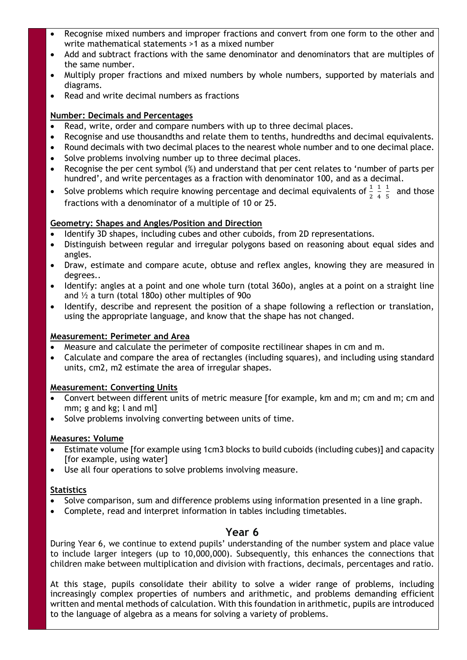- Recognise mixed numbers and improper fractions and convert from one form to the other and write mathematical statements >1 as a mixed number
- Add and subtract fractions with the same denominator and denominators that are multiples of the same number.
- Multiply proper fractions and mixed numbers by whole numbers, supported by materials and diagrams.
- Read and write decimal numbers as fractions

### **Number: Decimals and Percentages**

- Read, write, order and compare numbers with up to three decimal places.
- Recognise and use thousandths and relate them to tenths, hundredths and decimal equivalents.
- Round decimals with two decimal places to the nearest whole number and to one decimal place.
- Solve problems involving number up to three decimal places.
- Recognise the per cent symbol (%) and understand that per cent relates to 'number of parts per hundred', and write percentages as a fraction with denominator 100, and as a decimal.
- Solve problems which require knowing percentage and decimal equivalents of  $\frac{1}{2}$ 1 4 1  $\frac{1}{5}$  and those fractions with a denominator of a multiple of 10 or 25.

# **Geometry: Shapes and Angles/Position and Direction**

- Identify 3D shapes, including cubes and other cuboids, from 2D representations.
- Distinguish between regular and irregular polygons based on reasoning about equal sides and angles.
- Draw, estimate and compare acute, obtuse and reflex angles, knowing they are measured in degrees..
- Identify: angles at a point and one whole turn (total 360o), angles at a point on a straight line and ½ a turn (total 180o) other multiples of 90o
- Identify, describe and represent the position of a shape following a reflection or translation, using the appropriate language, and know that the shape has not changed.

### **Measurement: Perimeter and Area**

- Measure and calculate the perimeter of composite rectilinear shapes in cm and m.
- Calculate and compare the area of rectangles (including squares), and including using standard units, cm2, m2 estimate the area of irregular shapes.

# **Measurement: Converting Units**

- Convert between different units of metric measure [for example, km and m; cm and m; cm and mm; g and kg; l and ml]
- Solve problems involving converting between units of time.

### **Measures: Volume**

- Estimate volume [for example using 1cm3 blocks to build cuboids (including cubes)] and capacity [for example, using water]
- Use all four operations to solve problems involving measure.

# **Statistics**

- Solve comparison, sum and difference problems using information presented in a line graph.
- Complete, read and interpret information in tables including timetables.

# **Year 6**

During Year 6, we continue to extend pupils' understanding of the number system and place value to include larger integers (up to 10,000,000). Subsequently, this enhances the connections that children make between multiplication and division with fractions, decimals, percentages and ratio.

At this stage, pupils consolidate their ability to solve a wider range of problems, including increasingly complex properties of numbers and arithmetic, and problems demanding efficient written and mental methods of calculation. With this foundation in arithmetic, pupils are introduced to the language of algebra as a means for solving a variety of problems.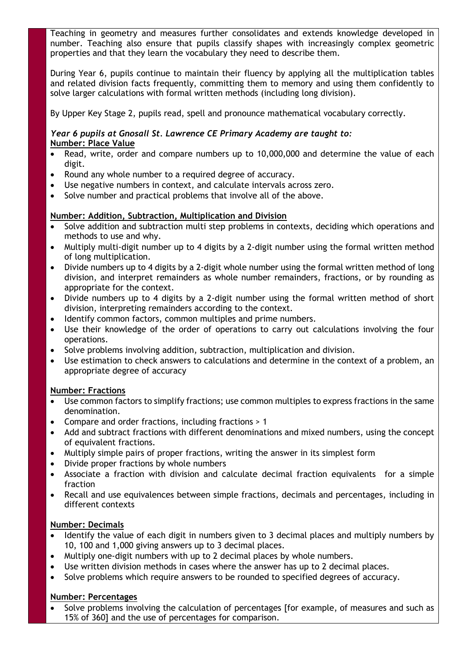Teaching in geometry and measures further consolidates and extends knowledge developed in number. Teaching also ensure that pupils classify shapes with increasingly complex geometric properties and that they learn the vocabulary they need to describe them.

During Year 6, pupils continue to maintain their fluency by applying all the multiplication tables and related division facts frequently, committing them to memory and using them confidently to solve larger calculations with formal written methods (including long division).

By Upper Key Stage 2, pupils read, spell and pronounce mathematical vocabulary correctly.

### *Year 6 pupils at Gnosall St. Lawrence CE Primary Academy are taught to:* **Number: Place Value**

- Read, write, order and compare numbers up to 10,000,000 and determine the value of each digit.
- Round any whole number to a required degree of accuracy.
- Use negative numbers in context, and calculate intervals across zero.
- Solve number and practical problems that involve all of the above.

# **Number: Addition, Subtraction, Multiplication and Division**

- Solve addition and subtraction multi step problems in contexts, deciding which operations and methods to use and why.
- Multiply multi-digit number up to 4 digits by a 2-digit number using the formal written method of long multiplication.
- Divide numbers up to 4 digits by a 2-digit whole number using the formal written method of long division, and interpret remainders as whole number remainders, fractions, or by rounding as appropriate for the context.
- Divide numbers up to 4 digits by a 2-digit number using the formal written method of short division, interpreting remainders according to the context.
- Identify common factors, common multiples and prime numbers.
- Use their knowledge of the order of operations to carry out calculations involving the four operations.
- Solve problems involving addition, subtraction, multiplication and division.
- Use estimation to check answers to calculations and determine in the context of a problem, an appropriate degree of accuracy

# **Number: Fractions**

- Use common factors to simplify fractions; use common multiples to express fractions in the same denomination.
- Compare and order fractions, including fractions > 1
- Add and subtract fractions with different denominations and mixed numbers, using the concept of equivalent fractions.
- Multiply simple pairs of proper fractions, writing the answer in its simplest form
- Divide proper fractions by whole numbers
- Associate a fraction with division and calculate decimal fraction equivalents for a simple fraction
- Recall and use equivalences between simple fractions, decimals and percentages, including in different contexts

# **Number: Decimals**

- Identify the value of each digit in numbers given to 3 decimal places and multiply numbers by 10, 100 and 1,000 giving answers up to 3 decimal places.
- Multiply one-digit numbers with up to 2 decimal places by whole numbers.
- Use written division methods in cases where the answer has up to 2 decimal places.
- Solve problems which require answers to be rounded to specified degrees of accuracy.

# **Number: Percentages**

• Solve problems involving the calculation of percentages [for example, of measures and such as 15% of 360] and the use of percentages for comparison.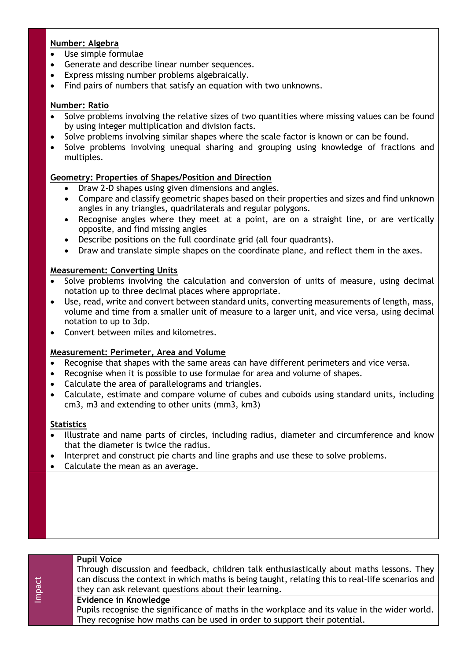# **Number: Algebra**

- Use simple formulae
- Generate and describe linear number sequences.
- Express missing number problems algebraically.
- Find pairs of numbers that satisfy an equation with two unknowns.

### **Number: Ratio**

- Solve problems involving the relative sizes of two quantities where missing values can be found by using integer multiplication and division facts.
- Solve problems involving similar shapes where the scale factor is known or can be found.
- Solve problems involving unequal sharing and grouping using knowledge of fractions and multiples.

### **Geometry: Properties of Shapes/Position and Direction**

- Draw 2-D shapes using given dimensions and angles.
- Compare and classify geometric shapes based on their properties and sizes and find unknown angles in any triangles, quadrilaterals and regular polygons.
- Recognise angles where they meet at a point, are on a straight line, or are vertically opposite, and find missing angles
- Describe positions on the full coordinate grid (all four quadrants).
- Draw and translate simple shapes on the coordinate plane, and reflect them in the axes.

### **Measurement: Converting Units**

- Solve problems involving the calculation and conversion of units of measure, using decimal notation up to three decimal places where appropriate.
- Use, read, write and convert between standard units, converting measurements of length, mass, volume and time from a smaller unit of measure to a larger unit, and vice versa, using decimal notation to up to 3dp.
- Convert between miles and kilometres.

### **Measurement: Perimeter, Area and Volume**

- Recognise that shapes with the same areas can have different perimeters and vice versa.
- Recognise when it is possible to use formulae for area and volume of shapes.
- Calculate the area of parallelograms and triangles.
- Calculate, estimate and compare volume of cubes and cuboids using standard units, including cm3, m3 and extending to other units (mm3, km3)

### **Statistics**

- Illustrate and name parts of circles, including radius, diameter and circumference and know that the diameter is twice the radius.
- Interpret and construct pie charts and line graphs and use these to solve problems.
- Calculate the mean as an average.

| Impact | <b>Pupil Voice</b><br>Through discussion and feedback, children talk enthusiastically about maths lessons. They<br>can discuss the context in which maths is being taught, relating this to real-life scenarios and<br>they can ask relevant questions about their learning. |
|--------|------------------------------------------------------------------------------------------------------------------------------------------------------------------------------------------------------------------------------------------------------------------------------|
|        | Evidence in Knowledge<br>Pupils recognise the significance of maths in the workplace and its value in the wider world.<br>They recognise how maths can be used in order to support their potential.                                                                          |